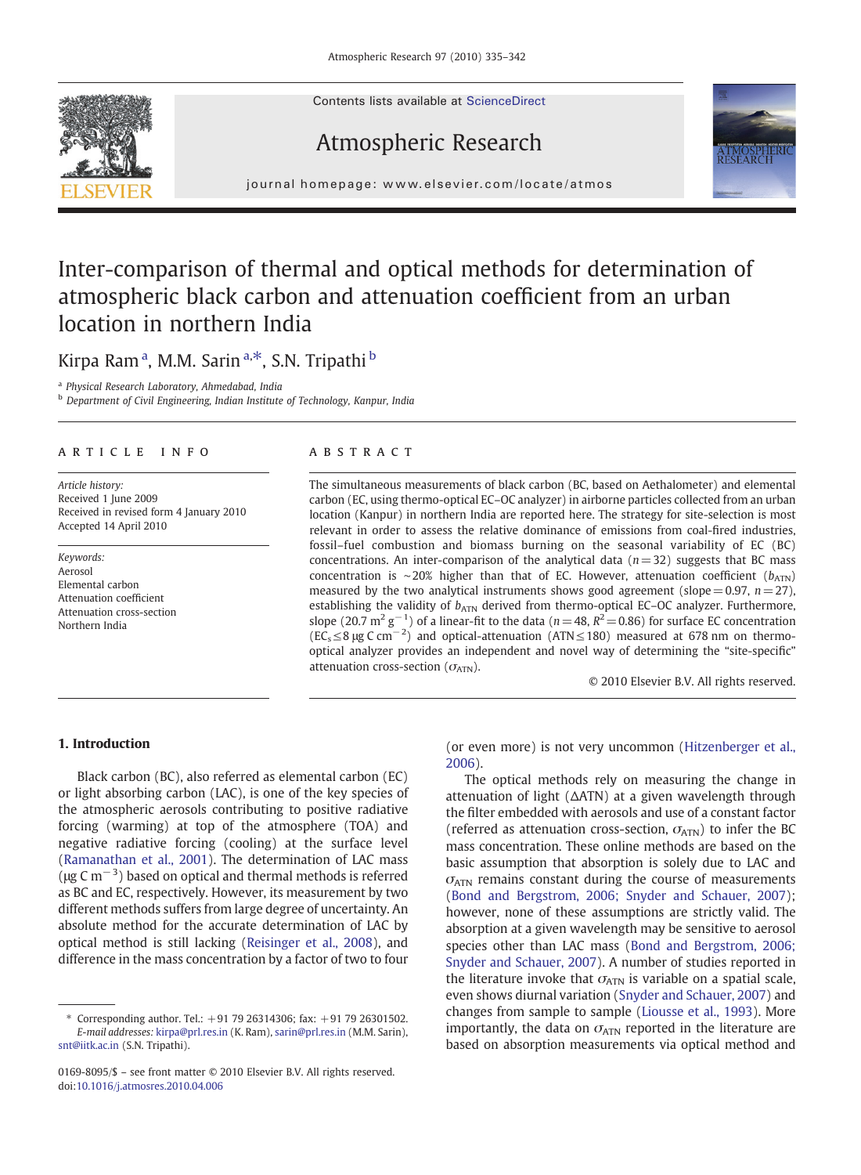Contents lists available at ScienceDirect

# Atmospheric Research



j o u r n a l h om e p a g e  $\alpha$  ev i e r. c om  $\alpha$  the  $\alpha$  two  $\alpha$  two  $\alpha$  two  $\alpha$  two  $\alpha$ 

# Inter-comparison of thermal and optical methods for determination of atmospheric black carbon and attenuation coefficient from an urban location in northern India

### Kirpa Ramª, M.M. Sarinª.\*, S.N. Tripathi <sup>b</sup>

<sup>a</sup> Physical Research Laboratory, Ahmedabad, India

**b** Department of Civil Engineering, Indian Institute of Technology, Kanpur, India

### article info abstract

Article history: Received 1 June 2009 Received in revised form 4 January 2010 Accepted 14 April 2010

Keywords: Aerosol Elemental carbon Attenuation coefficient Attenuation cross-section Northern India

The simultaneous measurements of black carbon (BC, based on Aethalometer) and elemental carbon (EC, using thermo-optical EC–OC analyzer) in airborne particles collected from an urban location (Kanpur) in northern India are reported here. The strategy for site-selection is most relevant in order to assess the relative dominance of emissions from coal-fired industries, fossil–fuel combustion and biomass burning on the seasonal variability of EC (BC) concentrations. An inter-comparison of the analytical data  $(n=32)$  suggests that BC mass concentration is ∼20% higher than that of EC. However, attenuation coefficient ( $b_{ATN}$ ) measured by the two analytical instruments shows good agreement (slope = 0.97,  $n= 27$ ), establishing the validity of  $b_{\text{ATN}}$  derived from thermo-optical EC-OC analyzer. Furthermore, slope (20.7 m<sup>2</sup> g<sup>-1</sup>) of a linear-fit to the data (n=48,  $R^2$ =0.86) for surface EC concentration  $(EC_s \leq 8 \,\mu g \, C \, cm^{-2})$  and optical-attenuation (ATN ≤ 180) measured at 678 nm on thermooptical analyzer provides an independent and novel way of determining the "site-specific" attenuation cross-section  $(\sigma_{ATN})$ .

© 2010 Elsevier B.V. All rights reserved.

#### 1. Introduction

Black carbon (BC), also referred as elemental carbon (EC) or light absorbing carbon (LAC), is one of the key species of the atmospheric aerosols contributing to positive radiative forcing (warming) at top of the atmosphere (TOA) and negative radiative forcing (cooling) at the surface level [\(Ramanathan et al., 2001](#page-6-0)). The determination of LAC mass ( $\mu$ g C m<sup>-3</sup>) based on optical and thermal methods is referred as BC and EC, respectively. However, its measurement by two different methods suffers from large degree of uncertainty. An absolute method for the accurate determination of LAC by optical method is still lacking [\(Reisinger et al., 2008\)](#page-6-0), and difference in the mass concentration by a factor of two to four

(or even more) is not very uncommon ([Hitzenberger et al.,](#page-6-0) [2006](#page-6-0)).

The optical methods rely on measuring the change in attenuation of light (ΔATN) at a given wavelength through the filter embedded with aerosols and use of a constant factor (referred as attenuation cross-section,  $\sigma_{ATN}$ ) to infer the BC mass concentration. These online methods are based on the basic assumption that absorption is solely due to LAC and  $\sigma$ <sub>ATN</sub> remains constant during the course of measurements ([Bond and Bergstrom, 2006; Snyder and Schauer, 2007\)](#page-6-0); however, none of these assumptions are strictly valid. The absorption at a given wavelength may be sensitive to aerosol species other than LAC mass ([Bond and Bergstrom, 2006;](#page-6-0) [Snyder and Schauer, 2007](#page-6-0)). A number of studies reported in the literature invoke that  $\sigma_{ATN}$  is variable on a spatial scale. even shows diurnal variation [\(Snyder and Schauer, 2007](#page-6-0)) and changes from sample to sample ([Liousse et al., 1993\)](#page-6-0). More importantly, the data on  $\sigma_{ATN}$  reported in the literature are based on absorption measurements via optical method and



Corresponding author. Tel.:  $+91$  79 26314306: fax:  $+91$  79 26301502. E-mail addresses: [kirpa@prl.res.in](mailto:kirpa@prl.res.in) (K. Ram), [sarin@prl.res.in](mailto:sarin@prl.res.in) (M.M. Sarin), [snt@iitk.ac.in](mailto:snt@iitk.ac.in) (S.N. Tripathi).

<sup>0169-8095/\$</sup> – see front matter © 2010 Elsevier B.V. All rights reserved. doi[:10.1016/j.atmosres.2010.04.006](http://dx.doi.org/10.1016/j.atmosres.2010.04.006)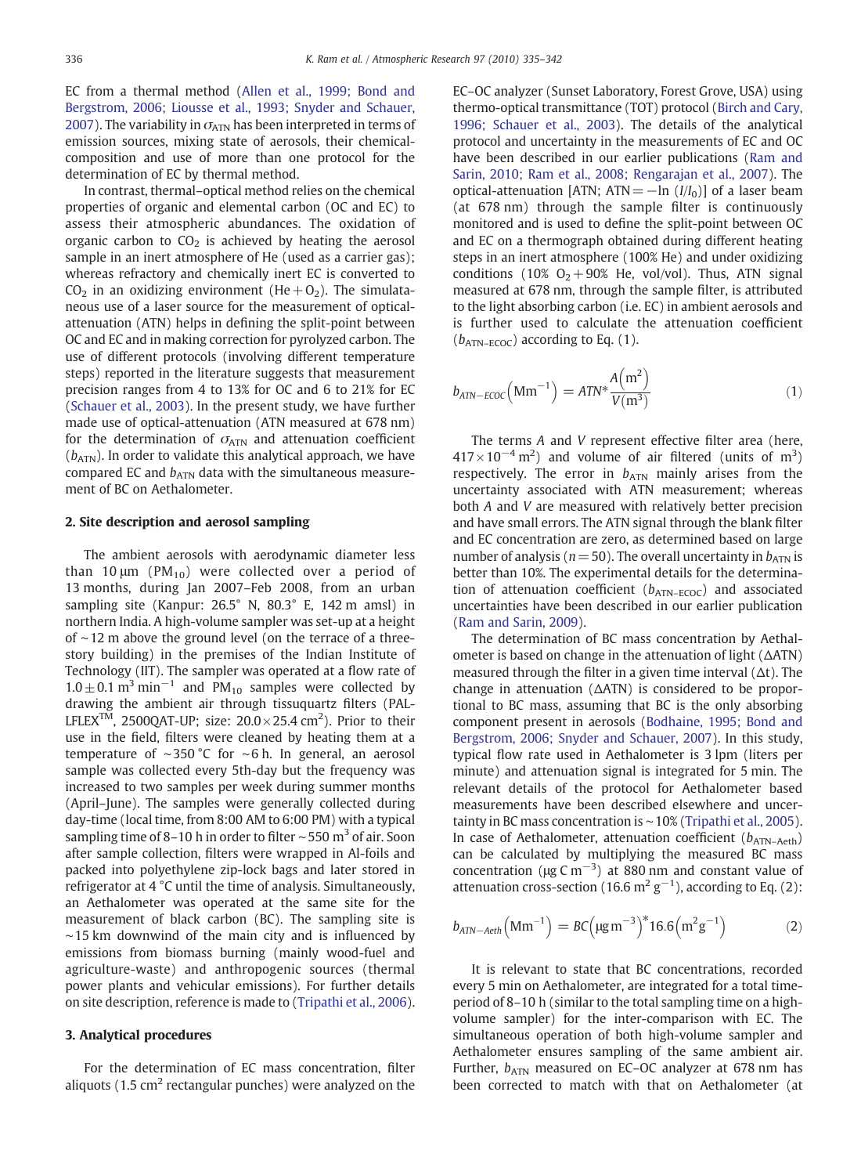EC from a thermal method ([Allen et al., 1999; Bond and](#page-6-0) [Bergstrom, 2006; Liousse et al., 1993; Snyder and Schauer,](#page-6-0) [2007](#page-6-0)). The variability in  $\sigma_{ATN}$  has been interpreted in terms of emission sources, mixing state of aerosols, their chemicalcomposition and use of more than one protocol for the determination of EC by thermal method.

In contrast, thermal–optical method relies on the chemical properties of organic and elemental carbon (OC and EC) to assess their atmospheric abundances. The oxidation of organic carbon to  $CO<sub>2</sub>$  is achieved by heating the aerosol sample in an inert atmosphere of He (used as a carrier gas); whereas refractory and chemically inert EC is converted to  $CO<sub>2</sub>$  in an oxidizing environment (He + O<sub>2</sub>). The simulataneous use of a laser source for the measurement of opticalattenuation (ATN) helps in defining the split-point between OC and EC and in making correction for pyrolyzed carbon. The use of different protocols (involving different temperature steps) reported in the literature suggests that measurement precision ranges from 4 to 13% for OC and 6 to 21% for EC ([Schauer et al., 2003\)](#page-6-0). In the present study, we have further made use of optical-attenuation (ATN measured at 678 nm) for the determination of  $\sigma_{ATN}$  and attenuation coefficient  $(b_{ATN})$ . In order to validate this analytical approach, we have compared EC and  $b_{ATN}$  data with the simultaneous measurement of BC on Aethalometer.

#### 2. Site description and aerosol sampling

The ambient aerosols with aerodynamic diameter less than 10  $\mu$ m (PM<sub>10</sub>) were collected over a period of 13 months, during Jan 2007–Feb 2008, from an urban sampling site (Kanpur: 26.5° N, 80.3° E, 142 m amsl) in northern India. A high-volume sampler was set-up at a height of ∼12 m above the ground level (on the terrace of a threestory building) in the premises of the Indian Institute of Technology (IIT). The sampler was operated at a flow rate of  $1.0 \pm 0.1$  m<sup>3</sup> min<sup>-1</sup> and PM<sub>10</sub> samples were collected by drawing the ambient air through tissuquartz filters (PAL-LFLEX<sup>TM</sup>, 2500QAT-UP; size:  $20.0\times25.4$  cm<sup>2</sup>). Prior to their use in the field, filters were cleaned by heating them at a temperature of ∼350 °C for ∼6 h. In general, an aerosol sample was collected every 5th-day but the frequency was increased to two samples per week during summer months (April–June). The samples were generally collected during day-time (local time, from 8:00 AM to 6:00 PM) with a typical sampling time of 8–10 h in order to filter ~550 m<sup>3</sup> of air. Soon after sample collection, filters were wrapped in Al-foils and packed into polyethylene zip-lock bags and later stored in refrigerator at 4 °C until the time of analysis. Simultaneously, an Aethalometer was operated at the same site for the measurement of black carbon (BC). The sampling site is ∼15 km downwind of the main city and is influenced by emissions from biomass burning (mainly wood-fuel and agriculture-waste) and anthropogenic sources (thermal power plants and vehicular emissions). For further details on site description, reference is made to [\(Tripathi et al., 2006](#page-6-0)).

#### 3. Analytical procedures

For the determination of EC mass concentration, filter aliquots (1.5  $\text{cm}^2$  rectangular punches) were analyzed on the EC–OC analyzer (Sunset Laboratory, Forest Grove, USA) using thermo-optical transmittance (TOT) protocol ([Birch and Cary,](#page-6-0) [1996; Schauer et al., 2003](#page-6-0)). The details of the analytical protocol and uncertainty in the measurements of EC and OC have been described in our earlier publications ([Ram and](#page-6-0) [Sarin, 2010; Ram et al., 2008; Rengarajan et al., 2007\)](#page-6-0). The optical-attenuation [ATN; ATN =  $-\ln (I/I_0)$ ] of a laser beam (at 678 nm) through the sample filter is continuously monitored and is used to define the split-point between OC and EC on a thermograph obtained during different heating steps in an inert atmosphere (100% He) and under oxidizing conditions (10%  $O<sub>2</sub> + 90%$  He, vol/vol). Thus, ATN signal measured at 678 nm, through the sample filter, is attributed to the light absorbing carbon (i.e. EC) in ambient aerosols and is further used to calculate the attenuation coefficient  $(b_{ATN-ECOC})$  according to Eq. (1).

$$
b_{ATN-ECOC} \left( \text{Mm}^{-1} \right) = A T N^* \frac{A \left( \text{m}^2 \right)}{V \left( \text{m}^3 \right)} \tag{1}
$$

The terms A and V represent effective filter area (here,  $417 \times 10^{-4}$  m<sup>2</sup>) and volume of air filtered (units of m<sup>3</sup>) respectively. The error in  $b_{ATN}$  mainly arises from the uncertainty associated with ATN measurement; whereas both A and V are measured with relatively better precision and have small errors. The ATN signal through the blank filter and EC concentration are zero, as determined based on large number of analysis ( $n = 50$ ). The overall uncertainty in  $b_{ATN}$  is better than 10%. The experimental details for the determination of attenuation coefficient  $(b_{ATN-ECOC})$  and associated uncertainties have been described in our earlier publication ([Ram and Sarin, 2009](#page-6-0)).

The determination of BC mass concentration by Aethalometer is based on change in the attenuation of light (ΔATN) measured through the filter in a given time interval (Δt). The change in attenuation (ΔATN) is considered to be proportional to BC mass, assuming that BC is the only absorbing component present in aerosols ([Bodhaine, 1995; Bond and](#page-6-0) [Bergstrom, 2006; Snyder and Schauer, 2007](#page-6-0)). In this study, typical flow rate used in Aethalometer is 3 lpm (liters per minute) and attenuation signal is integrated for 5 min. The relevant details of the protocol for Aethalometer based measurements have been described elsewhere and uncertainty in BC mass concentration is ∼10% [\(Tripathi et al., 2005](#page-6-0)). In case of Aethalometer, attenuation coefficient  $(b_{ATN-Aeth})$ can be calculated by multiplying the measured BC mass concentration ( $\mu$ g C m<sup>-3</sup>) at 880 nm and constant value of attenuation cross-section (16.6 m<sup>2</sup>  $g^{-1}$ ), according to Eq. (2):

$$
b_{ATN-Aeth} (Mm^{-1}) = BC(\mu g m^{-3})^* 16.6(m^2 g^{-1})
$$
 (2)

It is relevant to state that BC concentrations, recorded every 5 min on Aethalometer, are integrated for a total timeperiod of 8–10 h (similar to the total sampling time on a highvolume sampler) for the inter-comparison with EC. The simultaneous operation of both high-volume sampler and Aethalometer ensures sampling of the same ambient air. Further,  $b_{ATN}$  measured on EC–OC analyzer at 678 nm has been corrected to match with that on Aethalometer (at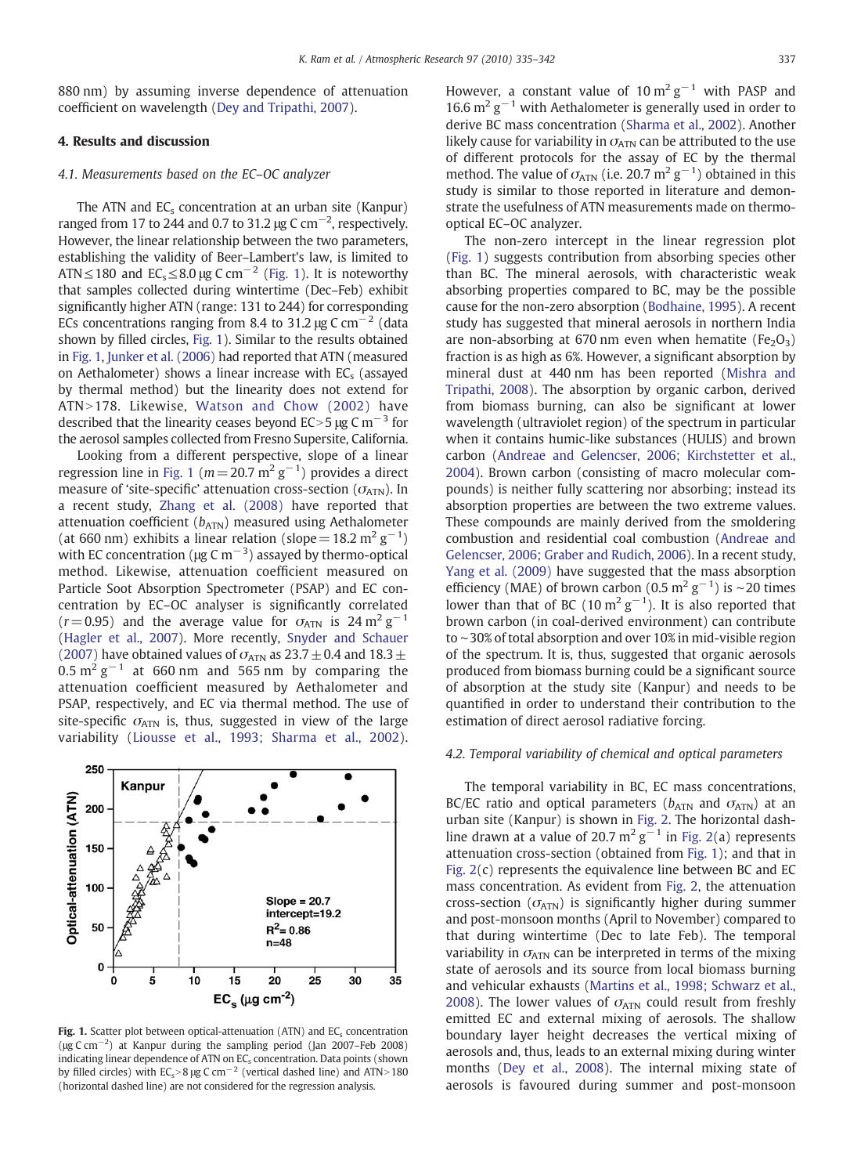<span id="page-2-0"></span>880 nm) by assuming inverse dependence of attenuation coefficient on wavelength [\(Dey and Tripathi, 2007\)](#page-6-0).

#### 4. Results and discussion

#### 4.1. Measurements based on the EC–OC analyzer

The ATN and  $EC_s$  concentration at an urban site (Kanpur) ranged from 17 to 244 and 0.7 to 31.2  $\mu$ g C cm $^{-2}$ , respectively. However, the linear relationship between the two parameters, establishing the validity of Beer–Lambert's law, is limited to ATN≤180 and  $EC_s$ ≤8.0 µg C cm<sup>-2</sup> (Fig. 1). It is noteworthy that samples collected during wintertime (Dec–Feb) exhibit significantly higher ATN (range: 131 to 244) for corresponding ECs concentrations ranging from 8.4 to 31.2 μg C cm<sup>-2</sup> (data shown by filled circles, Fig. 1). Similar to the results obtained in Fig. 1, [Junker et al. \(2006\)](#page-6-0) had reported that ATN (measured on Aethalometer) shows a linear increase with  $EC_s$  (assayed by thermal method) but the linearity does not extend for ATN>178. Likewise, [Watson and Chow \(2002\)](#page-6-0) have described that the linearity ceases beyond EC>5 μg C m<sup>-3</sup> for the aerosol samples collected from Fresno Supersite, California.

Looking from a different perspective, slope of a linear regression line in Fig. 1 ( $m\!=\!20.7$   $\mathrm{m^2\,g^{-1}}$ ) provides a direct measure of 'site-specific' attenuation cross-section ( $\sigma$ <sub>ATN</sub>). In a recent study, [Zhang et al. \(2008\)](#page-7-0) have reported that attenuation coefficient  $(b_{ATN})$  measured using Aethalometer (at 660 nm) exhibits a linear relation (slope = 18.2 m<sup>2</sup> g<sup>-1</sup>) with EC concentration (µg C m $^{-3}$ ) assayed by thermo-optical method. Likewise, attenuation coefficient measured on Particle Soot Absorption Spectrometer (PSAP) and EC concentration by EC–OC analyser is significantly correlated  $(r= 0.95)$  and the average value for  $\sigma_{ATN}$  is 24 m<sup>2</sup> g<sup>-1</sup> [\(Hagler et al., 2007\)](#page-6-0). More recently, [Snyder and Schauer](#page-6-0) [\(2007\)](#page-6-0) have obtained values of  $\sigma$ <sub>ATN</sub> as 23.7  $\pm$  0.4 and 18.3  $\pm$  $0.5$  m<sup>2</sup> g<sup>-1</sup> at 660 nm and 565 nm by comparing the attenuation coefficient measured by Aethalometer and PSAP, respectively, and EC via thermal method. The use of site-specific  $\sigma_{ATN}$  is, thus, suggested in view of the large variability ([Liousse et al., 1993; Sharma et al., 2002\)](#page-6-0).



Fig. 1. Scatter plot between optical-attenuation (ATN) and EC<sub>s</sub> concentration ( $\mu$ g C cm<sup>-2</sup>) at Kanpur during the sampling period (Jan 2007–Feb 2008) indicating linear dependence of ATN on  $EC_s$  concentration. Data points (shown by filled circles) with  $EC_s > 8 \mu g$  C cm<sup>-2</sup> (vertical dashed line) and ATN>180 (horizontal dashed line) are not considered for the regression analysis.

However, a constant value of 10  $m^2 g^{-1}$  with PASP and 16.6 m<sup>2</sup> g<sup> $-1$ </sup> with Aethalometer is generally used in order to derive BC mass concentration ([Sharma et al., 2002\)](#page-6-0). Another likely cause for variability in  $\sigma_{ATN}$  can be attributed to the use of different protocols for the assay of EC by the thermal method. The value of  $\sigma_{\text{ATN}}$  (i.e. 20.7 m<sup>2</sup> g<sup>-1</sup>) obtained in this study is similar to those reported in literature and demonstrate the usefulness of ATN measurements made on thermooptical EC–OC analyzer.

The non-zero intercept in the linear regression plot (Fig. 1) suggests contribution from absorbing species other than BC. The mineral aerosols, with characteristic weak absorbing properties compared to BC, may be the possible cause for the non-zero absorption ([Bodhaine, 1995\)](#page-6-0). A recent study has suggested that mineral aerosols in northern India are non-absorbing at 670 nm even when hematite ( $Fe<sub>2</sub>O<sub>3</sub>$ ) fraction is as high as 6%. However, a significant absorption by mineral dust at 440 nm has been reported [\(Mishra and](#page-6-0) [Tripathi, 2008](#page-6-0)). The absorption by organic carbon, derived from biomass burning, can also be significant at lower wavelength (ultraviolet region) of the spectrum in particular when it contains humic-like substances (HULIS) and brown carbon ([Andreae and Gelencser, 2006; Kirchstetter et al.,](#page-6-0) [2004](#page-6-0)). Brown carbon (consisting of macro molecular compounds) is neither fully scattering nor absorbing; instead its absorption properties are between the two extreme values. These compounds are mainly derived from the smoldering combustion and residential coal combustion ([Andreae and](#page-6-0) [Gelencser, 2006; Graber and Rudich, 2006\)](#page-6-0). In a recent study, [Yang et al. \(2009\)](#page-7-0) have suggested that the mass absorption efficiency (MAE) of brown carbon (0.5 m<sup>2</sup> g<sup>-1</sup>) is ~20 times lower than that of BC (10  $m^2 g^{-1}$ ). It is also reported that brown carbon (in coal-derived environment) can contribute to ∼30% of total absorption and over 10% in mid-visible region of the spectrum. It is, thus, suggested that organic aerosols produced from biomass burning could be a significant source of absorption at the study site (Kanpur) and needs to be quantified in order to understand their contribution to the estimation of direct aerosol radiative forcing.

#### 4.2. Temporal variability of chemical and optical parameters

The temporal variability in BC, EC mass concentrations, BC/EC ratio and optical parameters ( $b_{ATN}$  and  $\sigma_{ATN}$ ) at an urban site (Kanpur) is shown in [Fig. 2.](#page-3-0) The horizontal dashline drawn at a value of 20.7 m<sup>2</sup> g<sup> $-1$ </sup> in [Fig. 2\(](#page-3-0)a) represents attenuation cross-section (obtained from Fig. 1); and that in [Fig. 2](#page-3-0)(c) represents the equivalence line between BC and EC mass concentration. As evident from [Fig. 2](#page-3-0), the attenuation cross-section ( $\sigma_{ATN}$ ) is significantly higher during summer and post-monsoon months (April to November) compared to that during wintertime (Dec to late Feb). The temporal variability in  $\sigma$ <sub>ATN</sub> can be interpreted in terms of the mixing state of aerosols and its source from local biomass burning and vehicular exhausts ([Martins et al., 1998; Schwarz et al.,](#page-6-0) [2008](#page-6-0)). The lower values of  $\sigma_{ATN}$  could result from freshly emitted EC and external mixing of aerosols. The shallow boundary layer height decreases the vertical mixing of aerosols and, thus, leads to an external mixing during winter months [\(Dey et al., 2008\)](#page-6-0). The internal mixing state of aerosols is favoured during summer and post-monsoon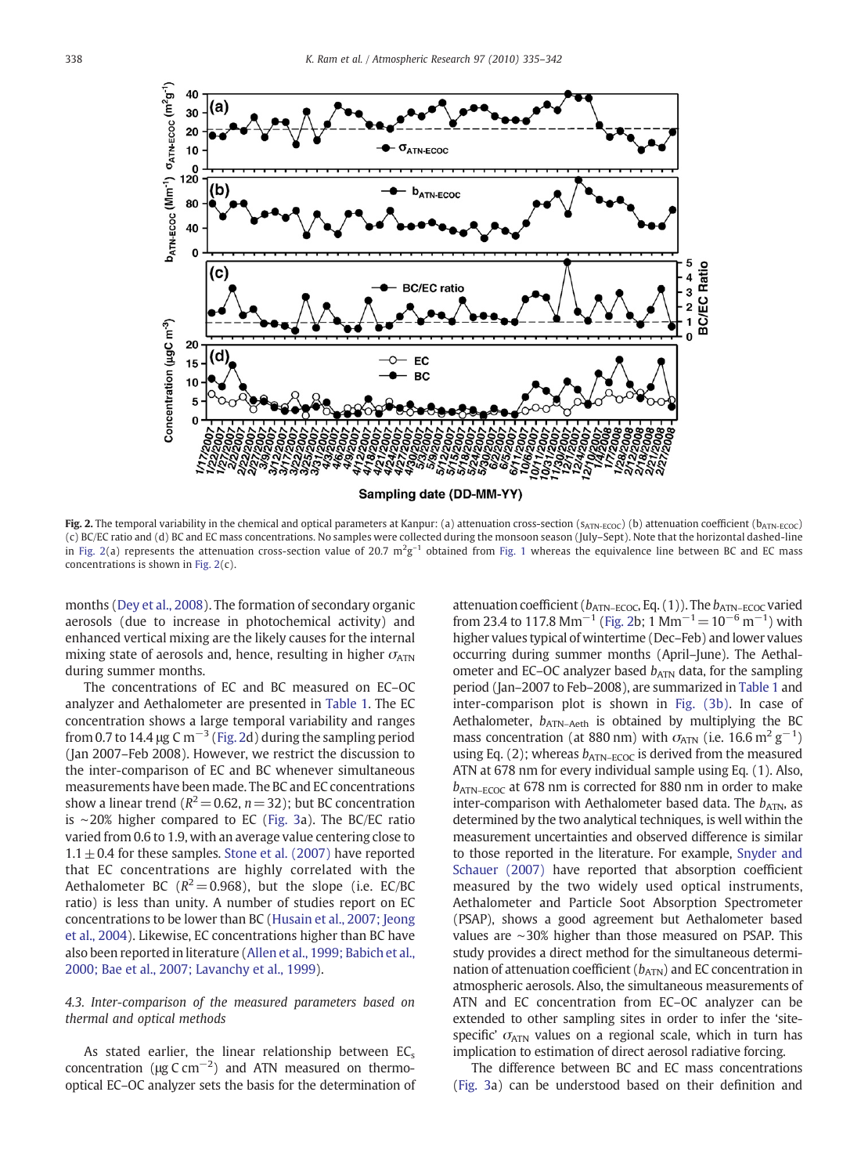<span id="page-3-0"></span>

Fig. 2. The temporal variability in the chemical and optical parameters at Kanpur: (a) attenuation cross-section ( $s_{ATN-ECOC}$ ) (b) attenuation coefficient ( $b_{ATN-ECOC}$ ) (c) BC/EC ratio and (d) BC and EC mass concentrations. No samples were collected during the monsoon season (July–Sept). Note that the horizontal dashed-line in Fig. 2(a) represents the attenuation cross-section value of 20.7  $m^2g^{-1}$  obtained from [Fig. 1](#page-2-0) whereas the equivalence line between BC and EC mass concentrations is shown in Fig. 2(c).

months [\(Dey et al., 2008\)](#page-6-0). The formation of secondary organic aerosols (due to increase in photochemical activity) and enhanced vertical mixing are the likely causes for the internal mixing state of aerosols and, hence, resulting in higher  $\sigma_{ATN}$ during summer months.

The concentrations of EC and BC measured on EC–OC analyzer and Aethalometer are presented in [Table 1.](#page-4-0) The EC concentration shows a large temporal variability and ranges from 0.7 to 14.4 μg C m<sup>-3</sup> (Fig. 2d) during the sampling period (Jan 2007–Feb 2008). However, we restrict the discussion to the inter-comparison of EC and BC whenever simultaneous measurements have been made. The BC and EC concentrations show a linear trend ( $R^2$  = 0.62, n = 32); but BC concentration is ∼20% higher compared to EC [\(Fig. 3](#page-4-0)a). The BC/EC ratio varied from 0.6 to 1.9, with an average value centering close to  $1.1 \pm 0.4$  for these samples. [Stone et al. \(2007\)](#page-6-0) have reported that EC concentrations are highly correlated with the Aethalometer BC ( $R^2 = 0.968$ ), but the slope (i.e. EC/BC ratio) is less than unity. A number of studies report on EC concentrations to be lower than BC [\(Husain et al., 2007; Jeong](#page-6-0) [et al., 2004](#page-6-0)). Likewise, EC concentrations higher than BC have also been reported in literature [\(Allen et al., 1999; Babich et al.,](#page-6-0) [2000; Bae et al., 2007; Lavanchy et al., 1999\)](#page-6-0).

#### 4.3. Inter-comparison of the measured parameters based on thermal and optical methods

As stated earlier, the linear relationship between  $EC_s$ concentration ( $\mu$ g C cm<sup>-2</sup>) and ATN measured on thermooptical EC–OC analyzer sets the basis for the determination of attenuation coefficient ( $b_{ATN-ECOC}$ , Eq. (1)). The  $b_{ATN-ECOC}$  varied from 23.4 to 117.8  $\text{Mm}^{-1}$  (Fig. 2b; 1  $\text{Mm}^{-1}$  = 10<sup>-6</sup> m<sup>-1</sup>) with higher values typical of wintertime (Dec–Feb) and lower values occurring during summer months (April–June). The Aethalometer and EC–OC analyzer based  $b_{ATN}$  data, for the sampling period (Jan–2007 to Feb–2008), are summarized in [Table 1](#page-4-0) and inter-comparison plot is shown in [Fig. \(3b\).](#page-4-0) In case of Aethalometer,  $b_{ATN-Aeth}$  is obtained by multiplying the BC mass concentration (at 880 nm) with  $\sigma_{\text{ATN}}$  (i.e. 16.6 m<sup>2</sup> g<sup>-1</sup>) using Eq. (2); whereas  $b_{ATN-ECOC}$  is derived from the measured ATN at 678 nm for every individual sample using Eq. (1). Also,  $b_{ATN-ECOC}$  at 678 nm is corrected for 880 nm in order to make inter-comparison with Aethalometer based data. The  $b_{ATN}$ , as determined by the two analytical techniques, is well within the measurement uncertainties and observed difference is similar to those reported in the literature. For example, [Snyder and](#page-6-0) [Schauer \(2007\)](#page-6-0) have reported that absorption coefficient measured by the two widely used optical instruments, Aethalometer and Particle Soot Absorption Spectrometer (PSAP), shows a good agreement but Aethalometer based values are ∼30% higher than those measured on PSAP. This study provides a direct method for the simultaneous determination of attenuation coefficient  $(b_{ATN})$  and EC concentration in atmospheric aerosols. Also, the simultaneous measurements of ATN and EC concentration from EC–OC analyzer can be extended to other sampling sites in order to infer the 'sitespecific'  $\sigma$ <sub>ATN</sub> values on a regional scale, which in turn has implication to estimation of direct aerosol radiative forcing.

The difference between BC and EC mass concentrations ([Fig. 3a](#page-4-0)) can be understood based on their definition and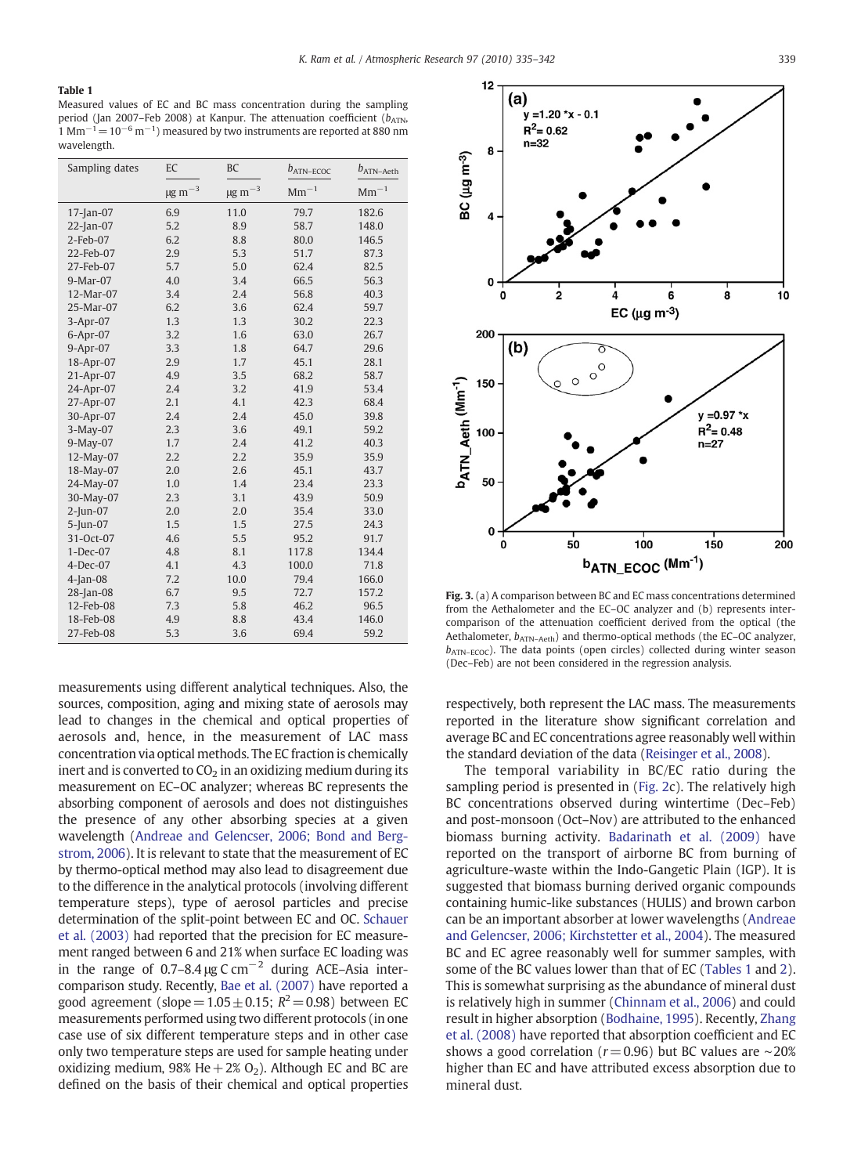#### <span id="page-4-0"></span>Table 1

Measured values of EC and BC mass concentration during the sampling period (Jan 2007–Feb 2008) at Kanpur. The attenuation coefficient ( $b_{ATN}$ ,  $1 \text{ Mm}^{-1}$  =  $10^{-6} \text{ m}^{-1}$ ) measured by two instruments are reported at 880 nm wavelength.

| Sampling dates | EC                | <b>BC</b>         | $b_{ATN-ECOC}$ | $b_{ATN-Aeth}$ |  |
|----------------|-------------------|-------------------|----------------|----------------|--|
|                | $\mu$ g m $^{-3}$ | $\mu$ g m $^{-3}$ | $Mm^{-1}$      | $Mm^{-1}$      |  |
| $17$ -Jan-07   | 6.9               | 11.0              | 79.7           | 182.6          |  |
| $22$ -Jan-07   | 5.2               | 8.9               | 58.7           | 148.0          |  |
| $2$ -Feb-07    | 6.2               | 8.8               | 80.0           | 146.5          |  |
| 22-Feb-07      | 2.9               | 5.3               | 51.7           | 87.3           |  |
| 27-Feb-07      | 5.7               | 5.0               | 62.4           | 82.5           |  |
| 9-Mar-07       | 4.0               | 3.4               | 66.5           | 56.3           |  |
| 12-Mar-07      | 3.4               | 2.4               | 56.8           | 40.3           |  |
| 25-Mar-07      | 6.2               | 3.6               | 62.4           | 59.7           |  |
| 3-Apr-07       | 1.3               | 1.3               | 30.2           | 22.3           |  |
| 6-Apr-07       | 3.2               | 1.6               | 63.0           | 26.7           |  |
| $9-Apr-07$     | 3.3               | 1.8               | 64.7           | 29.6           |  |
| 18-Apr-07      | 2.9               | 1.7               | 45.1           | 28.1           |  |
| 21-Apr-07      | 4.9               | 3.5               | 68.2           | 58.7           |  |
| 24-Apr-07      | 2.4               | 3.2               | 41.9           | 53.4           |  |
| 27-Apr-07      | 2.1               | 4.1               | 42.3           | 68.4           |  |
| 30-Apr-07      | 2.4               | 2.4               | 45.0           | 39.8           |  |
| 3-May-07       | 2.3               | 3.6               | 49.1           | 59.2           |  |
| 9-May-07       | 1.7               | 2.4               | 41.2           | 40.3           |  |
| 12-May-07      | 2.2               | 2.2               | 35.9           | 35.9           |  |
| 18-May-07      | 2.0               | 2.6               | 45.1           | 43.7           |  |
| 24-May-07      | 1.0               | 1.4               | 23.4           | 23.3           |  |
| 30-May-07      | 2.3               | 3.1               | 43.9           | 50.9           |  |
| $2$ -Jun-07    | 2.0               | 2.0               | 35.4           | 33.0           |  |
| 5-Jun-07       | 1.5               | 1.5               | 27.5           | 24.3           |  |
| 31-Oct-07      | 4.6               | 5.5               | 95.2           | 91.7           |  |
| $1-Dec-07$     | 4.8               | 8.1               | 117.8          | 134.4          |  |
| $4-Dec-07$     | 4.1               | 4.3               | 100.0          | 71.8           |  |
| $4$ -Jan-08    | 7.2               | 10.0              | 79.4           | 166.0          |  |
| 28-Jan-08      | 6.7               | 9.5               | 72.7           | 157.2          |  |
| 12-Feb-08      | 7.3               | 5.8               | 46.2           | 96.5           |  |
| 18-Feb-08      | 4.9               | 8.8               | 43.4           | 146.0          |  |
| 27-Feb-08      | 5.3               | 3.6               | 69.4           | 59.2           |  |

measurements using different analytical techniques. Also, the sources, composition, aging and mixing state of aerosols may lead to changes in the chemical and optical properties of aerosols and, hence, in the measurement of LAC mass concentration via optical methods. The EC fraction is chemically inert and is converted to  $CO<sub>2</sub>$  in an oxidizing medium during its measurement on EC–OC analyzer; whereas BC represents the absorbing component of aerosols and does not distinguishes the presence of any other absorbing species at a given wavelength ([Andreae and Gelencser, 2006; Bond and Berg](#page-6-0)[strom, 2006](#page-6-0)). It is relevant to state that the measurement of EC by thermo-optical method may also lead to disagreement due to the difference in the analytical protocols (involving different temperature steps), type of aerosol particles and precise determination of the split-point between EC and OC. [Schauer](#page-6-0) [et al. \(2003\)](#page-6-0) had reported that the precision for EC measurement ranged between 6 and 21% when surface EC loading was in the range of 0.7–8.4 μg C cm<sup>-2</sup> during ACE–Asia intercomparison study. Recently, [Bae et al. \(2007\)](#page-6-0) have reported a good agreement (slope =  $1.05+0.15$ ;  $R^2=0.98$ ) between EC measurements performed using two different protocols (in one case use of six different temperature steps and in other case only two temperature steps are used for sample heating under oxidizing medium, 98% He  $+2\%$  O<sub>2</sub>). Although EC and BC are defined on the basis of their chemical and optical properties



Fig. 3. (a) A comparison between BC and EC mass concentrations determined from the Aethalometer and the EC–OC analyzer and (b) represents intercomparison of the attenuation coefficient derived from the optical (the Aethalometer,  $b_{ATN- Aeth}$ ) and thermo-optical methods (the EC-OC analyzer,  $b_{ATN-FCOC}$ ). The data points (open circles) collected during winter season (Dec–Feb) are not been considered in the regression analysis.

respectively, both represent the LAC mass. The measurements reported in the literature show significant correlation and average BC and EC concentrations agree reasonably well within the standard deviation of the data [\(Reisinger et al., 2008\)](#page-6-0).

The temporal variability in BC/EC ratio during the sampling period is presented in ([Fig. 2](#page-3-0)c). The relatively high BC concentrations observed during wintertime (Dec–Feb) and post-monsoon (Oct–Nov) are attributed to the enhanced biomass burning activity. [Badarinath et al. \(2009\)](#page-6-0) have reported on the transport of airborne BC from burning of agriculture-waste within the Indo-Gangetic Plain (IGP). It is suggested that biomass burning derived organic compounds containing humic-like substances (HULIS) and brown carbon can be an important absorber at lower wavelengths ([Andreae](#page-6-0) [and Gelencser, 2006; Kirchstetter et al., 2004\)](#page-6-0). The measured BC and EC agree reasonably well for summer samples, with some of the BC values lower than that of EC (Tables 1 and [2\)](#page-5-0). This is somewhat surprising as the abundance of mineral dust is relatively high in summer [\(Chinnam et al., 2006](#page-6-0)) and could result in higher absorption [\(Bodhaine, 1995\)](#page-6-0). Recently, [Zhang](#page-7-0) [et al. \(2008\)](#page-7-0) have reported that absorption coefficient and EC shows a good correlation ( $r = 0.96$ ) but BC values are ∼20% higher than EC and have attributed excess absorption due to mineral dust.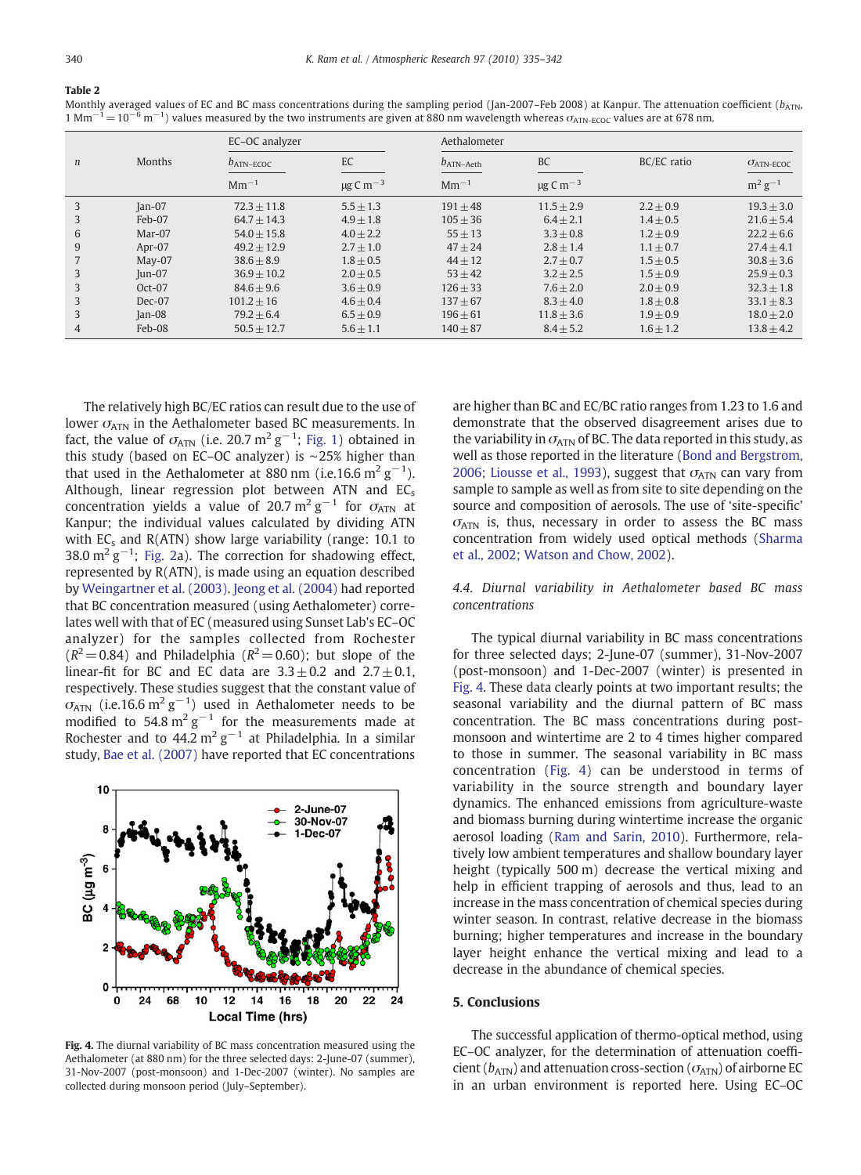<span id="page-5-0"></span>Table 2

Monthly averaged values of EC and BC mass concentrations during the sampling period (Jan-2007–Feb 2008) at Kanpur. The attenuation coefficient (bATN,  $1 \text{ Mm}^{-1}=10^{-6} \text{ m}^{-1}$ ) values measured by the two instruments are given at 880 nm wavelength whereas  $\sigma_{\text{ATN-ECOC}}$  values are at 678 nm.

|                  |               | EC-OC analyzer |                           | Aethalometer   |                           |             |                              |
|------------------|---------------|----------------|---------------------------|----------------|---------------------------|-------------|------------------------------|
| $\boldsymbol{n}$ | <b>Months</b> | $b_{ATN-ECOC}$ | EC                        | $b_{ATN-Aeth}$ | <b>BC</b>                 | BC/EC ratio | $\sigma$ <sub>ATN-ECOC</sub> |
|                  |               | $Mm^{-1}$      | $\mu$ g C m <sup>-3</sup> | $Mm^{-1}$      | $\mu$ g C m <sup>-3</sup> |             | $m^2 g^{-1}$                 |
| 3                | $Jan-07$      | $72.3 + 11.8$  | $5.5 + 1.3$               | $191 + 48$     | $11.5 + 2.9$              | $2.2 + 0.9$ | $19.3 + 3.0$                 |
| 3                | Feb-07        | $64.7 + 14.3$  | $4.9 + 1.8$               | $105 + 36$     | $6.4 + 2.1$               | $1.4 + 0.5$ | $21.6 + 5.4$                 |
| 6                | Mar-07        | $54.0 + 15.8$  | $4.0 + 2.2$               | $55 + 13$      | $3.3 + 0.8$               | $1.2 + 0.9$ | $22.2 + 6.6$                 |
| 9                | Apr-07        | $49.2 + 12.9$  | $2.7 + 1.0$               | $47 + 24$      | $2.8 + 1.4$               | $1.1 + 0.7$ | $27.4 + 4.1$                 |
|                  | $May-07$      | $38.6 + 8.9$   | $1.8 + 0.5$               | $44 + 12$      | $2.7 + 0.7$               | $1.5 + 0.5$ | $30.8 + 3.6$                 |
| 3                | $ un-07$      | $36.9 + 10.2$  | $2.0 + 0.5$               | $53 + 42$      | $3.2 + 2.5$               | $1.5 + 0.9$ | $25.9 + 0.3$                 |
| 3                | Oct-07        | $84.6 + 9.6$   | $3.6 + 0.9$               | $126 + 33$     | $7.6 + 2.0$               | $2.0 + 0.9$ | $32.3 + 1.8$                 |
| 3                | $Dec-07$      | $101.2 + 16$   | $4.6 + 0.4$               | $137 + 67$     | $8.3 + 4.0$               | $1.8 + 0.8$ | $33.1 + 8.3$                 |
| 3                | $Jan-08$      | $79.2 + 6.4$   | $6.5 + 0.9$               | $196 + 61$     | $11.8 + 3.6$              | $1.9 + 0.9$ | $18.0 + 2.0$                 |
| 4                | Feb-08        | $50.5 + 12.7$  | $5.6 + 1.1$               | $140 + 87$     | $8.4 + 5.2$               | $1.6 + 1.2$ | $13.8 + 4.2$                 |

The relatively high BC/EC ratios can result due to the use of lower  $\sigma_{ATN}$  in the Aethalometer based BC measurements. In fact, the value of  $\sigma_{\text{ATN}}$  (i.e. 20.7 m<sup>2</sup> g<sup>-1</sup>; [Fig. 1\)](#page-2-0) obtained in this study (based on EC–OC analyzer) is ∼25% higher than that used in the Aethalometer at 880 nm (i.e.16.6 m<sup>2</sup> g<sup>-1</sup>). Although, linear regression plot between ATN and  $EC_s$ concentration yields a value of 20.7 m<sup>2</sup> g<sup>-1</sup> for  $\sigma_{ATN}$  at Kanpur; the individual values calculated by dividing ATN with  $EC_s$  and  $R(ATN)$  show large variability (range: 10.1 to 38.0  $\mathrm{m}^2 \mathrm{g}^{-1}$ ; [Fig. 2](#page-3-0)a). The correction for shadowing effect, represented by R(ATN), is made using an equation described by [Weingartner et al. \(2003\)](#page-6-0). [Jeong et al. \(2004\)](#page-6-0) had reported that BC concentration measured (using Aethalometer) correlates well with that of EC (measured using Sunset Lab's EC–OC analyzer) for the samples collected from Rochester  $(R^2 = 0.84)$  and Philadelphia  $(R^2 = 0.60)$ ; but slope of the linear-fit for BC and EC data are  $3.3 \pm 0.2$  and  $2.7 \pm 0.1$ , respectively. These studies suggest that the constant value of  $\sigma_{\text{ATN}}$  (i.e.16.6  $\text{m}^2 \text{ g}^{-1}$ ) used in Aethalometer needs to be modified to 54.8 m<sup>2</sup>  $\text{g}^{-1}$  for the measurements made at Rochester and to 44.2 m<sup>2</sup> g<sup>-1</sup> at Philadelphia. In a similar study, [Bae et al. \(2007\)](#page-6-0) have reported that EC concentrations



Fig. 4. The diurnal variability of BC mass concentration measured using the Aethalometer (at 880 nm) for the three selected days: 2-June-07 (summer). 31-Nov-2007 (post-monsoon) and 1-Dec-2007 (winter). No samples are collected during monsoon period (July–September).

are higher than BC and EC/BC ratio ranges from 1.23 to 1.6 and demonstrate that the observed disagreement arises due to the variability in  $\sigma_{ATN}$  of BC. The data reported in this study, as well as those reported in the literature [\(Bond and Bergstrom,](#page-6-0) [2006; Liousse et al., 1993](#page-6-0)), suggest that  $\sigma_{ATN}$  can vary from sample to sample as well as from site to site depending on the source and composition of aerosols. The use of 'site-specific'  $\sigma$ <sub>ATN</sub> is, thus, necessary in order to assess the BC mass concentration from widely used optical methods ([Sharma](#page-6-0) [et al., 2002; Watson and Chow, 2002](#page-6-0)).

#### 4.4. Diurnal variability in Aethalometer based BC mass concentrations

The typical diurnal variability in BC mass concentrations for three selected days; 2-June-07 (summer), 31-Nov-2007 (post-monsoon) and 1-Dec-2007 (winter) is presented in Fig. 4. These data clearly points at two important results; the seasonal variability and the diurnal pattern of BC mass concentration. The BC mass concentrations during postmonsoon and wintertime are 2 to 4 times higher compared to those in summer. The seasonal variability in BC mass concentration (Fig. 4) can be understood in terms of variability in the source strength and boundary layer dynamics. The enhanced emissions from agriculture-waste and biomass burning during wintertime increase the organic aerosol loading [\(Ram and Sarin, 2010\)](#page-6-0). Furthermore, relatively low ambient temperatures and shallow boundary layer height (typically 500 m) decrease the vertical mixing and help in efficient trapping of aerosols and thus, lead to an increase in the mass concentration of chemical species during winter season. In contrast, relative decrease in the biomass burning; higher temperatures and increase in the boundary layer height enhance the vertical mixing and lead to a decrease in the abundance of chemical species.

#### 5. Conclusions

The successful application of thermo-optical method, using EC–OC analyzer, for the determination of attenuation coefficient ( $b_{ATN}$ ) and attenuation cross-section ( $\sigma_{ATN}$ ) of airborne EC in an urban environment is reported here. Using EC–OC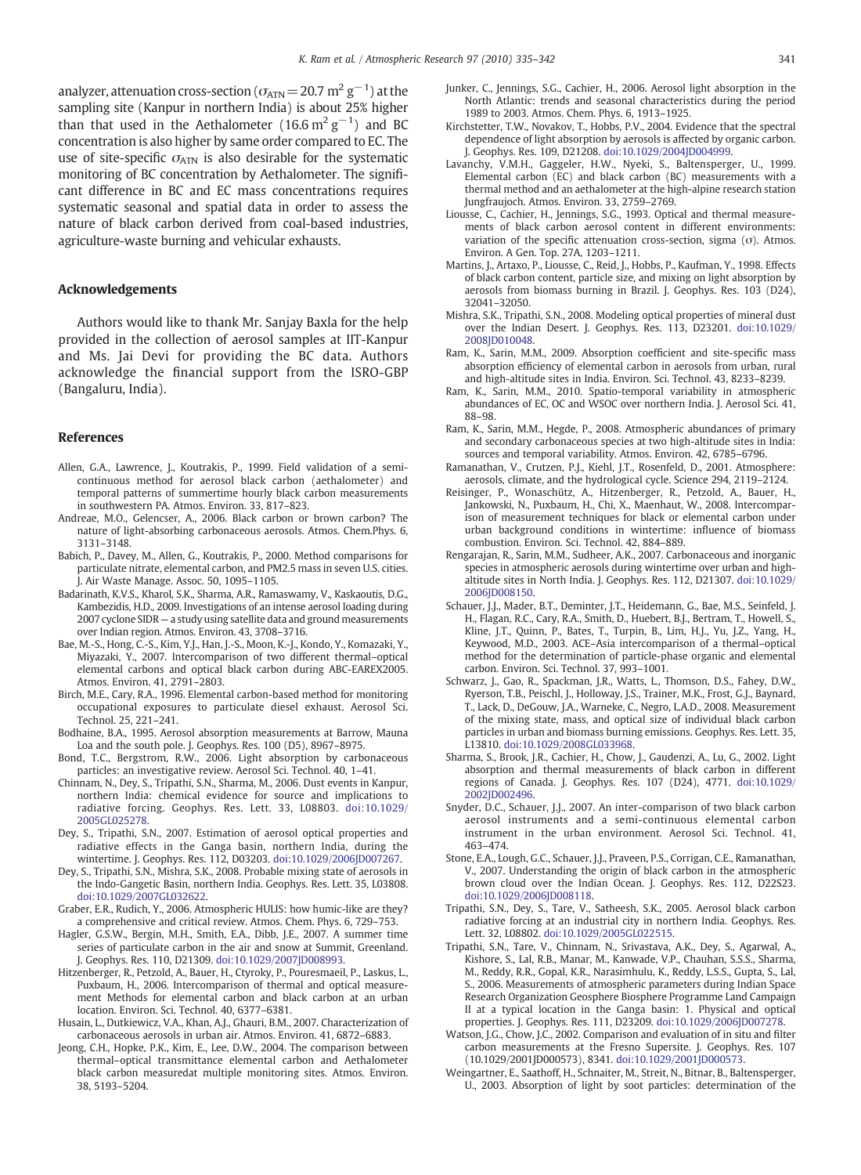<span id="page-6-0"></span>analyzer, attenuation cross-section ( $\sigma_{\rm ATN}\!=\!20.7$   $\rm m^2\,g^{-1})$  at the sampling site (Kanpur in northern India) is about 25% higher than that used in the Aethalometer (16.6  $\mathrm{m}^2 \mathrm{g}^{-1}$ ) and BC concentration is also higher by same order compared to EC. The use of site-specific  $\sigma_{ATN}$  is also desirable for the systematic monitoring of BC concentration by Aethalometer. The significant difference in BC and EC mass concentrations requires systematic seasonal and spatial data in order to assess the nature of black carbon derived from coal-based industries, agriculture-waste burning and vehicular exhausts.

#### Acknowledgements

Authors would like to thank Mr. Sanjay Baxla for the help provided in the collection of aerosol samples at IIT-Kanpur and Ms. Jai Devi for providing the BC data. Authors acknowledge the financial support from the ISRO-GBP (Bangaluru, India).

#### References

- Allen, G.A., Lawrence, J., Koutrakis, P., 1999. Field validation of a semicontinuous method for aerosol black carbon (aethalometer) and temporal patterns of summertime hourly black carbon measurements in southwestern PA. Atmos. Environ. 33, 817–823.
- Andreae, M.O., Gelencser, A., 2006. Black carbon or brown carbon? The nature of light-absorbing carbonaceous aerosols. Atmos. Chem.Phys. 6, 3131–3148.
- Babich, P., Davey, M., Allen, G., Koutrakis, P., 2000. Method comparisons for particulate nitrate, elemental carbon, and PM2.5 mass in seven U.S. cities. J. Air Waste Manage. Assoc. 50, 1095–1105.
- Badarinath, K.V.S., Kharol, S.K., Sharma, A.R., Ramaswamy, V., Kaskaoutis, D.G., Kambezidis, H.D., 2009. Investigations of an intense aerosol loading during 2007 cyclone SIDR — a study using satellite data and ground measurements over Indian region. Atmos. Environ. 43, 3708–3716.
- Bae, M.-S., Hong, C.-S., Kim, Y.J., Han, J.-S., Moon, K.-J., Kondo, Y., Komazaki, Y., Miyazaki, Y., 2007. Intercomparison of two different thermal–optical elemental carbons and optical black carbon during ABC-EAREX2005. Atmos. Environ. 41, 2791–2803.
- Birch, M.E., Cary, R.A., 1996. Elemental carbon-based method for monitoring occupational exposures to particulate diesel exhaust. Aerosol Sci. Technol. 25, 221–241.
- Bodhaine, B.A., 1995. Aerosol absorption measurements at Barrow, Mauna Loa and the south pole. J. Geophys. Res. 100 (D5), 8967–8975.
- Bond, T.C., Bergstrom, R.W., 2006. Light absorption by carbonaceous particles: an investigative review. Aerosol Sci. Technol. 40, 1–41.
- Chinnam, N., Dey, S., Tripathi, S.N., Sharma, M., 2006. Dust events in Kanpur, northern India: chemical evidence for source and implications to radiative forcing. Geophys. Res. Lett. 33, L08803. doi:[10.1029/](http://dx.doi.org/10.1029/ 2005GL025278) [2005GL025278.](http://dx.doi.org/10.1029/ 2005GL025278)
- Dey, S., Tripathi, S.N., 2007. Estimation of aerosol optical properties and radiative effects in the Ganga basin, northern India, during the wintertime. J. Geophys. Res. 112, D03203. doi[:10.1029/2006JD007267.](http://dx.doi.org/10.1029/2006JD007267)
- Dey, S., Tripathi, S.N., Mishra, S.K., 2008. Probable mixing state of aerosols in the Indo-Gangetic Basin, northern India. Geophys. Res. Lett. 35, L03808. doi[:10.1029/2007GL032622.](http://dx.doi.org/10.1029/2007GL032622)
- Graber, E.R., Rudich, Y., 2006. Atmospheric HULIS: how humic-like are they? a comprehensive and critical review. Atmos. Chem. Phys. 6, 729–753.
- Hagler, G.S.W., Bergin, M.H., Smith, E.A., Dibb, J.E., 2007. A summer time series of particulate carbon in the air and snow at Summit, Greenland. J. Geophys. Res. 110, D21309. doi[:10.1029/2007JD008993.](http://dx.doi.org/10.1029/2007JD008993)
- Hitzenberger, R., Petzold, A., Bauer, H., Ctyroky, P., Pouresmaeil, P., Laskus, L., Puxbaum, H., 2006. Intercomparison of thermal and optical measurement Methods for elemental carbon and black carbon at an urban location. Environ. Sci. Technol. 40, 6377–6381.
- Husain, L., Dutkiewicz, V.A., Khan, A.J., Ghauri, B.M., 2007. Characterization of carbonaceous aerosols in urban air. Atmos. Environ. 41, 6872–6883.
- Jeong, C.H., Hopke, P.K., Kim, E., Lee, D.W., 2004. The comparison between thermal–optical transmittance elemental carbon and Aethalometer black carbon measuredat multiple monitoring sites. Atmos. Environ. 38, 5193–5204.
- Junker, C., Jennings, S.G., Cachier, H., 2006. Aerosol light absorption in the North Atlantic: trends and seasonal characteristics during the period 1989 to 2003. Atmos. Chem. Phys. 6, 1913–1925.
- Kirchstetter, T.W., Novakov, T., Hobbs, P.V., 2004. Evidence that the spectral dependence of light absorption by aerosols is affected by organic carbon. J. Geophys. Res. 109, D21208. doi[:10.1029/2004JD004999.](http://dx.doi.org/10.1029/2004JD004999)
- Lavanchy, V.M.H., Gaggeler, H.W., Nyeki, S., Baltensperger, U., 1999. Elemental carbon (EC) and black carbon (BC) measurements with a thermal method and an aethalometer at the high-alpine research station Jungfraujoch. Atmos. Environ. 33, 2759–2769.
- Liousse, C., Cachier, H., Jennings, S.G., 1993. Optical and thermal measurements of black carbon aerosol content in different environments: variation of the specific attenuation cross-section, sigma  $(\sigma)$ . Atmos. Environ. A Gen. Top. 27A, 1203–1211.
- Martins, J., Artaxo, P., Liousse, C., Reid, J., Hobbs, P., Kaufman, Y., 1998. Effects of black carbon content, particle size, and mixing on light absorption by aerosols from biomass burning in Brazil. J. Geophys. Res. 103 (D24), 32041–32050.
- Mishra, S.K., Tripathi, S.N., 2008. Modeling optical properties of mineral dust over the Indian Desert. J. Geophys. Res. 113, D23201. doi[:10.1029/](http://dx.doi.org/10.1029/2008JD010048) 2008ID010048
- Ram, K., Sarin, M.M., 2009. Absorption coefficient and site-specific mass absorption efficiency of elemental carbon in aerosols from urban, rural and high-altitude sites in India. Environ. Sci. Technol. 43, 8233–8239.
- Ram, K., Sarin, M.M., 2010. Spatio-temporal variability in atmospheric abundances of EC, OC and WSOC over northern India. J. Aerosol Sci. 41, 88–98.
- Ram, K., Sarin, M.M., Hegde, P., 2008. Atmospheric abundances of primary and secondary carbonaceous species at two high-altitude sites in India: sources and temporal variability. Atmos. Environ. 42, 6785–6796.
- Ramanathan, V., Crutzen, P.J., Kiehl, J.T., Rosenfeld, D., 2001. Atmosphere: aerosols, climate, and the hydrological cycle. Science 294, 2119–2124.
- Reisinger, P., Wonaschütz, A., Hitzenberger, R., Petzold, A., Bauer, H., Jankowski, N., Puxbaum, H., Chi, X., Maenhaut, W., 2008. Intercomparison of measurement techniques for black or elemental carbon under urban background conditions in wintertime: influence of biomass combustion. Environ. Sci. Technol. 42, 884–889.
- Rengarajan, R., Sarin, M.M., Sudheer, A.K., 2007. Carbonaceous and inorganic species in atmospheric aerosols during wintertime over urban and highaltitude sites in North India. J. Geophys. Res. 112, D21307. doi[:10.1029/](http://dx.doi.org/10.1029/2006JD008150) [2006JD008150.](http://dx.doi.org/10.1029/2006JD008150)
- Schauer, J.J., Mader, B.T., Deminter, J.T., Heidemann, G., Bae, M.S., Seinfeld, J. H., Flagan, R.C., Cary, R.A., Smith, D., Huebert, B.J., Bertram, T., Howell, S., Kline, J.T., Quinn, P., Bates, T., Turpin, B., Lim, H.J., Yu, J.Z., Yang, H., Keywood, M.D., 2003. ACE–Asia intercomparison of a thermal–optical method for the determination of particle-phase organic and elemental carbon. Environ. Sci. Technol. 37, 993–1001.
- Schwarz, J., Gao, R., Spackman, J.R., Watts, L., Thomson, D.S., Fahey, D.W., Ryerson, T.B., Peischl, J., Holloway, J.S., Trainer, M.K., Frost, G.J., Baynard, T., Lack, D., DeGouw, J.A., Warneke, C., Negro, L.A.D., 2008. Measurement of the mixing state, mass, and optical size of individual black carbon particles in urban and biomass burning emissions. Geophys. Res. Lett. 35, L13810. doi[:10.1029/2008GL033968.](http://dx.doi.org/10.1029/2008GL033968)
- Sharma, S., Brook, J.R., Cachier, H., Chow, J., Gaudenzi, A., Lu, G., 2002. Light absorption and thermal measurements of black carbon in different regions of Canada. J. Geophys. Res. 107 (D24), 4771. doi[:10.1029/](http://dx.doi.org/10.1029/2002JD002496) [2002JD002496.](http://dx.doi.org/10.1029/2002JD002496)
- Snyder, D.C., Schauer, J.J., 2007. An inter-comparison of two black carbon aerosol instruments and a semi-continuous elemental carbon instrument in the urban environment. Aerosol Sci. Technol. 41, 463–474.
- Stone, E.A., Lough, G.C., Schauer, J.J., Praveen, P.S., Corrigan, C.E., Ramanathan, V., 2007. Understanding the origin of black carbon in the atmospheric brown cloud over the Indian Ocean. J. Geophys. Res. 112, D22S23. doi[:10.1029/2006JD008118.](http://dx.doi.org/10.1029/2006JD008118)
- Tripathi, S.N., Dey, S., Tare, V., Satheesh, S.K., 2005. Aerosol black carbon radiative forcing at an industrial city in northern India. Geophys. Res. Lett. 32, L08802. doi[:10.1029/2005GL022515.](http://dx.doi.org/10.1029/2005GL022515)
- Tripathi, S.N., Tare, V., Chinnam, N., Srivastava, A.K., Dey, S., Agarwal, A., Kishore, S., Lal, R.B., Manar, M., Kanwade, V.P., Chauhan, S.S.S., Sharma, M., Reddy, R.R., Gopal, K.R., Narasimhulu, K., Reddy, L.S.S., Gupta, S., Lal, S., 2006. Measurements of atmospheric parameters during Indian Space Research Organization Geosphere Biosphere Programme Land Campaign II at a typical location in the Ganga basin: 1. Physical and optical properties. J. Geophys. Res. 111, D23209. doi:[10.1029/2006JD007278.](http://dx.doi.org/10.1029/2006JD007278)
- Watson, J.G., Chow, J.C., 2002. Comparison and evaluation of in situ and filter carbon measurements at the Fresno Supersite. J. Geophys. Res. 107 (10.1029/2001JD000573), 8341. doi[:10.1029/2001JD000573.](http://dx.doi.org/10.1029/2001JD000573)
- Weingartner, E., Saathoff, H., Schnaiter, M., Streit, N., Bitnar, B., Baltensperger, U., 2003. Absorption of light by soot particles: determination of the